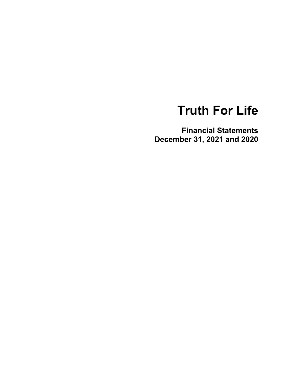**Financial Statements December 31, 2021 and 2020**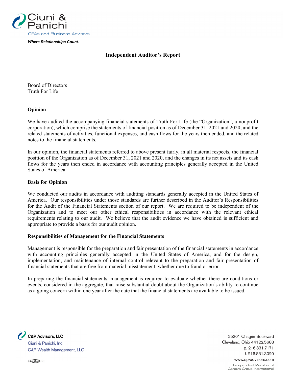

*Where Relationships Count.*

#### **Independent Auditor's Report**

Board of Directors Truth For Life

#### **Opinion**

We have audited the accompanying financial statements of Truth For Life (the "Organization", a nonprofit corporation), which comprise the statements of financial position as of December 31, 2021 and 2020, and the related statements of activities, functional expenses, and cash flows for the years then ended, and the related notes to the financial statements.

In our opinion, the financial statements referred to above present fairly, in all material respects, the financial position of the Organization as of December 31, 2021 and 2020, and the changes in its net assets and its cash flows for the years then ended in accordance with accounting principles generally accepted in the United States of America.

#### **Basis for Opinion**

We conducted our audits in accordance with auditing standards generally accepted in the United States of America. Our responsibilities under those standards are further described in the Auditor's Responsibilities for the Audit of the Financial Statements section of our report. We are required to be independent of the Organization and to meet our other ethical responsibilities in accordance with the relevant ethical requirements relating to our audit. We believe that the audit evidence we have obtained is sufficient and appropriate to provide a basis for our audit opinion.

#### **Responsibilities of Management for the Financial Statements**

Management is responsible for the preparation and fair presentation of the financial statements in accordance with accounting principles generally accepted in the United States of America, and for the design, implementation, and maintenance of internal control relevant to the preparation and fair presentation of financial statements that are free from material misstatement, whether due to fraud or error.

In preparing the financial statements, management is required to evaluate whether there are conditions or events, considered in the aggregate, that raise substantial doubt about the Organization's ability to continue as a going concern within one year after the date that the financial statements are available to be issued.

**C&P Advisors, LLC** Ciuni & Panichi, Inc. C&P Wealth Management, LLC

25201 Chagrin Boulevard Cleveland, Ohio 44122.5683 p. 216.831.7171 f. 216.831.3020 www.cp-advisors.com

> Independent Member of Geneva Group International

 $\circ$  (CCU)  $\circ$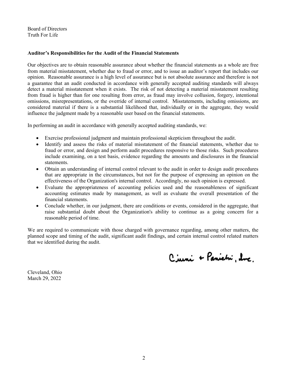Board of Directors Truth For Life

#### **Auditor's Responsibilities for the Audit of the Financial Statements**

Our objectives are to obtain reasonable assurance about whether the financial statements as a whole are free from material misstatement, whether due to fraud or error, and to issue an auditor's report that includes our opinion. Reasonable assurance is a high level of assurance but is not absolute assurance and therefore is not a guarantee that an audit conducted in accordance with generally accepted auditing standards will always detect a material misstatement when it exists. The risk of not detecting a material misstatement resulting from fraud is higher than for one resulting from error, as fraud may involve collusion, forgery, intentional omissions, misrepresentations, or the override of internal control. Misstatements, including omissions, are considered material if there is a substantial likelihood that, individually or in the aggregate, they would influence the judgment made by a reasonable user based on the financial statements.

In performing an audit in accordance with generally accepted auditing standards, we:

- Exercise professional judgment and maintain professional skepticism throughout the audit.
- Identify and assess the risks of material misstatement of the financial statements, whether due to fraud or error, and design and perform audit procedures responsive to those risks. Such procedures include examining, on a test basis, evidence regarding the amounts and disclosures in the financial statements.
- Obtain an understanding of internal control relevant to the audit in order to design audit procedures that are appropriate in the circumstances, but not for the purpose of expressing an opinion on the effectiveness of the Organization's internal control. Accordingly, no such opinion is expressed.
- Evaluate the appropriateness of accounting policies used and the reasonableness of significant accounting estimates made by management, as well as evaluate the overall presentation of the financial statements.
- Conclude whether, in our judgment, there are conditions or events, considered in the aggregate, that raise substantial doubt about the Organization's ability to continue as a going concern for a reasonable period of time.

We are required to communicate with those charged with governance regarding, among other matters, the planned scope and timing of the audit, significant audit findings, and certain internal control related matters that we identified during the audit.

Ciuni + Panietni, due

Cleveland, Ohio March 29, 2022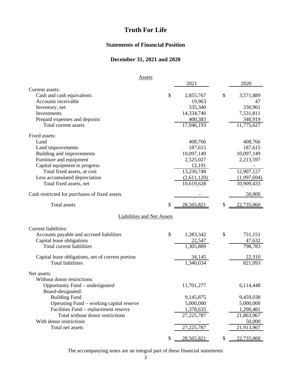### **Statements of Financial Position**

### **December 31, 2021 and 2020**

| <b>Assets</b>                                     |               |                         |                   |
|---------------------------------------------------|---------------|-------------------------|-------------------|
|                                                   |               | 2021                    | 2020              |
| Current assets:                                   |               |                         |                   |
| Cash and cash equivalents                         | \$            | 2,855,767               | \$<br>3,571,889   |
| Accounts receivable                               |               | 19,963                  | 47                |
| Inventory, net                                    |               | 335,340                 | 330,961           |
| Investments                                       |               | 14,334,740              | 7,531,811         |
| Prepaid expenses and deposits                     |               | 400,383                 | 340,919           |
| Total current assets                              |               | $\overline{17,}946,193$ | 11,775,627        |
|                                                   |               |                         |                   |
| Fixed assets:                                     |               |                         |                   |
| Land                                              |               | 408,766                 | 408,766           |
| Land improvements                                 |               | 187,615                 | 187,615           |
| Building and improvements                         |               | 10,097,149              | 10,097,149        |
| Furniture and equipment                           |               | 2,525,027               | 2,213,597         |
| Capital equipment in progress                     |               | 12,191                  |                   |
| Total fixed assets, at cost                       |               | 13,230,748              | 12,907,127        |
|                                                   |               |                         |                   |
| Less accumulated depreciation                     |               | (2,611,120)             | (1,997,694)       |
| Total fixed assets, net                           |               | 10,619,628              | 10,909,433        |
| Cash restricted for purchases of fixed assets     |               |                         | 50,000            |
|                                                   |               |                         |                   |
| <b>Total assets</b>                               | \$            | 28,565,821              | \$<br>22,735,060  |
|                                                   |               |                         |                   |
| Liabilities and Net Assets                        |               |                         |                   |
| <b>Current liabilities:</b>                       |               |                         |                   |
| Accounts payable and accrued liabilities          | $\mathcal{S}$ | 1,283,342               | \$<br>751,151     |
| Capital lease obligations                         |               | 22,547                  |                   |
| Total current liabilities                         |               | $\overline{1,305,889}$  | 47,632<br>798,783 |
|                                                   |               |                         |                   |
| Capital lease obligations, net of current portion |               | 34,145                  | 22,310            |
| <b>Total liabilities</b>                          |               | 1,340,034               | 821,093           |
|                                                   |               |                         |                   |
| Net assets:                                       |               |                         |                   |
| Without donor restrictions:                       |               |                         |                   |
| Opportunity Fund – undesignated                   |               | 11,701,277              | 6,114,448         |
| Board-designated:                                 |               |                         |                   |
| <b>Building Fund</b>                              |               | 9,145,875               | 9,459,038         |
| Operating Fund – working capital reserve          |               | 5,000,000               | 5,000,000         |
| Facilities Fund – replacement reserve             |               | 1,378,635               | 1,290,481         |
| Total without donor restrictions                  |               | 27, 225, 787            | 21,863,967        |
| With donor restrictions                           |               |                         | 50,000            |
| Total net assets                                  |               | 27, 225, 787            | 21,913,967        |
|                                                   |               |                         |                   |
|                                                   | \$            | 28,565,821              | \$<br>22,735,060  |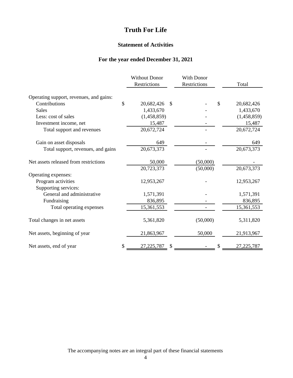#### **Statement of Activities**

### **For the year ended December 31, 2021**

|                                         | <b>Without Donor</b> | <b>With Donor</b> |    |             |
|-----------------------------------------|----------------------|-------------------|----|-------------|
|                                         | Restrictions         | Restrictions      |    | Total       |
| Operating support, revenues, and gains: |                      |                   |    |             |
| Contributions                           | \$<br>20,682,426     | \$                | \$ | 20,682,426  |
| <b>Sales</b>                            | 1,433,670            |                   |    | 1,433,670   |
| Less: cost of sales                     | (1,458,859)          |                   |    | (1,458,859) |
| Investment income, net                  | 15,487               |                   |    | 15,487      |
| Total support and revenues              | 20,672,724           |                   |    | 20,672,724  |
| Gain on asset disposals                 | 649                  |                   |    | 649         |
| Total support, revenues, and gains      | 20,673,373           |                   |    | 20,673,373  |
| Net assets released from restrictions   | 50,000               | (50,000)          |    |             |
|                                         | 20,723,373           | (50,000)          |    | 20,673,373  |
| Operating expenses:                     |                      |                   |    |             |
| Program activities                      | 12,953,267           |                   |    | 12,953,267  |
| Supporting services:                    |                      |                   |    |             |
| General and administrative              | 1,571,391            |                   |    | 1,571,391   |
| Fundraising                             | 836,895              |                   |    | 836,895     |
| Total operating expenses                | 15,361,553           |                   |    | 15,361,553  |
| Total changes in net assets             | 5,361,820            | (50,000)          |    | 5,311,820   |
| Net assets, beginning of year           | 21,863,967           | 50,000            |    | 21,913,967  |
| Net assets, end of year                 | \$<br>27,225,787     | \$                |    | 27,225,787  |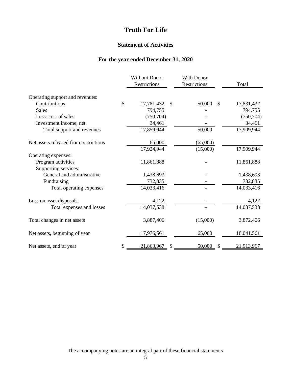#### **Statement of Activities**

### **For the year ended December 31, 2020**

|                                       | <b>Without Donor</b><br>Restrictions | With Donor<br>Restrictions | Total                       |
|---------------------------------------|--------------------------------------|----------------------------|-----------------------------|
| Operating support and revenues:       |                                      |                            |                             |
| Contributions                         | \$<br>17,781,432<br>$\mathcal{S}$    | 50,000                     | $\mathcal{S}$<br>17,831,432 |
| <b>Sales</b>                          | 794,755                              |                            | 794,755                     |
| Less: cost of sales                   | (750, 704)                           |                            | (750, 704)                  |
| Investment income, net                | 34,461                               |                            | 34,461                      |
| Total support and revenues            | 17,859,944                           | 50,000                     | 17,909,944                  |
| Net assets released from restrictions | 65,000                               | (65,000)                   |                             |
|                                       | 17,924,944                           | (15,000)                   | 17,909,944                  |
| Operating expenses:                   |                                      |                            |                             |
| Program activities                    | 11,861,888                           |                            | 11,861,888                  |
| Supporting services:                  |                                      |                            |                             |
| General and administrative            | 1,438,693                            |                            | 1,438,693                   |
| Fundraising                           | 732,835                              |                            | 732,835                     |
| Total operating expenses              | 14,033,416                           |                            | 14,033,416                  |
| Loss on asset disposals               | 4,122                                |                            | 4,122                       |
| Total expenses and losses             | 14,037,538                           |                            | 14,037,538                  |
| Total changes in net assets           | 3,887,406                            | (15,000)                   | 3,872,406                   |
| Net assets, beginning of year         | 17,976,561                           | 65,000                     | 18,041,561                  |
| Net assets, end of year               | \$<br>21,863,967<br>\$               | 50,000                     | 21,913,967<br>\$            |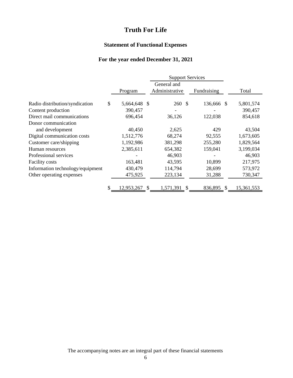### **Statement of Functional Expenses**

# **For the year ended December 31, 2021**

|                                  |    |              |     | <b>Support Services</b> |  |             |  |            |
|----------------------------------|----|--------------|-----|-------------------------|--|-------------|--|------------|
|                                  |    |              |     | General and             |  |             |  |            |
|                                  |    | Program      |     | Administrative          |  | Fundraising |  | Total      |
|                                  |    |              |     |                         |  |             |  |            |
| Radio distribution/syndication   | \$ | 5,664,648 \$ |     | 260 \$                  |  | 136,666 \$  |  | 5,801,574  |
| Content production               |    | 390,457      |     |                         |  |             |  | 390,457    |
| Direct mail communications       |    | 696,454      |     | 36,126                  |  | 122,038     |  | 854,618    |
| Donor communication              |    |              |     |                         |  |             |  |            |
| and development                  |    | 40,450       |     | 2,625                   |  | 429         |  | 43,504     |
| Digital communication costs      |    | 1,512,776    |     | 68,274                  |  | 92,555      |  | 1,673,605  |
| Customer care/shipping           |    | 1,192,986    |     | 381,298                 |  | 255,280     |  | 1,829,564  |
| Human resources                  |    | 2,385,611    |     | 654,382                 |  | 159,041     |  | 3,199,034  |
| Professional services            |    |              |     | 46,903                  |  |             |  | 46,903     |
| Facility costs                   |    | 163,481      |     | 43,595                  |  | 10,899      |  | 217,975    |
| Information technology/equipment |    | 430,479      |     | 114,794                 |  | 28,699      |  | 573,972    |
| Other operating expenses         |    | 475,925      |     | 223,134                 |  | 31,288      |  | 730,347    |
|                                  | S  | 12,953,267   | \$. | 1,571,391               |  | 836,895     |  | 15,361,553 |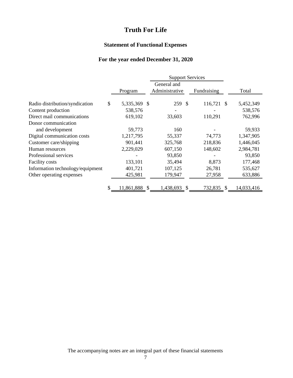### **Statement of Functional Expenses**

# **For the year ended December 31, 2020**

|                                  |    |               | <b>Support Services</b> |             |    |            |
|----------------------------------|----|---------------|-------------------------|-------------|----|------------|
|                                  |    |               | General and             |             |    |            |
|                                  |    | Program       | Administrative          | Fundraising |    | Total      |
| Radio distribution/syndication   | \$ | 5,335,369 \$  | 259 \$                  | 116,721     | -S | 5,452,349  |
| Content production               |    | 538,576       |                         |             |    | 538,576    |
| Direct mail communications       |    | 619,102       | 33,603                  | 110,291     |    | 762,996    |
| Donor communication              |    |               |                         |             |    |            |
| and development                  |    | 59,773        | 160                     |             |    | 59,933     |
| Digital communication costs      |    | 1,217,795     | 55,337                  | 74,773      |    | 1,347,905  |
| Customer care/shipping           |    | 901,441       | 325,768                 | 218,836     |    | 1,446,045  |
| Human resources                  |    | 2,229,029     | 607,150                 | 148,602     |    | 2,984,781  |
| Professional services            |    |               | 93,850                  |             |    | 93,850     |
| Facility costs                   |    | 133,101       | 35,494                  | 8,873       |    | 177,468    |
| Information technology/equipment |    | 401,721       | 107,125                 | 26,781      |    | 535,627    |
| Other operating expenses         |    | 425,981       | 179,947                 | 27,958      |    | 633,886    |
|                                  | S  | 11,861,888 \$ | 1,438,693               | 732,835     | æ, | 14,033,416 |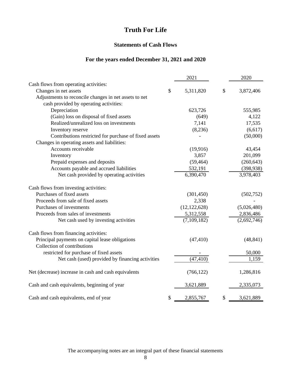#### **Statements of Cash Flows**

### **For the years ended December 31, 2021 and 2020**

|                                                       | 2021            | 2020            |
|-------------------------------------------------------|-----------------|-----------------|
| Cash flows from operating activities:                 |                 |                 |
| Changes in net assets                                 | \$<br>5,311,820 | \$<br>3,872,406 |
| Adjustments to reconcile changes in net assets to net |                 |                 |
| cash provided by operating activities:                |                 |                 |
| Depreciation                                          | 623,726         | 555,985         |
| (Gain) loss on disposal of fixed assets               | (649)           | 4,122           |
| Realized/unrealized loss on investments               | 7,141           | 17,535          |
| Inventory reserve                                     | (8,236)         | (6,617)         |
| Contributions restricted for purchase of fixed assets |                 | (50,000)        |
| Changes in operating assets and liabilities:          |                 |                 |
| Accounts receivable                                   | (19, 916)       | 43,454          |
| Inventory                                             | 3,857           | 201,099         |
| Prepaid expenses and deposits                         | (59, 464)       | (260, 643)      |
| Accounts payable and accrued liabilities              | 532,191         | (398, 938)      |
| Net cash provided by operating activities             | 6,390,470       | 3,978,403       |
| Cash flows from investing activities:                 |                 |                 |
| Purchases of fixed assets                             | (301, 450)      | (502, 752)      |
| Proceeds from sale of fixed assets                    | 2,338           |                 |
| Purchases of investments                              | (12, 122, 628)  | (5,026,480)     |
| Proceeds from sales of investments                    | 5,312,558       | 2,836,486       |
| Net cash used by investing activities                 | (7,109,182)     | (2,692,746)     |
| Cash flows from financing activities:                 |                 |                 |
| Principal payments on capital lease obligations       | (47, 410)       | (48, 841)       |
| Collection of contributions                           |                 |                 |
| restricted for purchase of fixed assets               |                 | 50,000          |
| Net cash (used) provided by financing activities      | (47, 410)       | 1,159           |
| Net (decrease) increase in cash and cash equivalents  | (766, 122)      | 1,286,816       |
| Cash and cash equivalents, beginning of year          | 3,621,889       | 2,335,073       |
| Cash and cash equivalents, end of year                | \$<br>2,855,767 | \$<br>3,621,889 |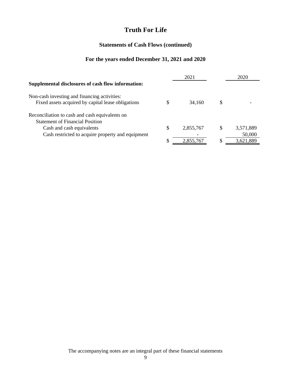### **Statements of Cash Flows (continued)**

# **For the years ended December 31, 2021 and 2020**

|                                                    |   | 2021      |   | 2020      |
|----------------------------------------------------|---|-----------|---|-----------|
| Supplemental disclosures of cash flow information: |   |           |   |           |
| Non-cash investing and financing activities:       |   |           |   |           |
| Fixed assets acquired by capital lease obligations |   | 34,160    | S |           |
| Reconciliation to cash and cash equivalents on     |   |           |   |           |
| <b>Statement of Financial Position</b>             |   |           |   |           |
| Cash and cash equivalents                          | S | 2,855,767 | S | 3,571,889 |
| Cash restricted to acquire property and equipment  |   |           |   | 50,000    |
|                                                    |   | 2.855.767 | S | 3,621,889 |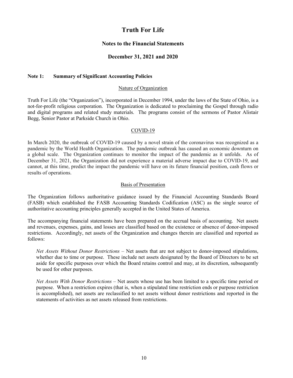#### **Notes to the Financial Statements**

#### **December 31, 2021 and 2020**

#### **Note 1: Summary of Significant Accounting Policies**

#### Nature of Organization

Truth For Life (the "Organization"), incorporated in December 1994, under the laws of the State of Ohio, is a not-for-profit religious corporation. The Organization is dedicated to proclaiming the Gospel through radio and digital programs and related study materials. The programs consist of the sermons of Pastor Alistair Begg, Senior Pastor at Parkside Church in Ohio.

#### COVID-19

In March 2020, the outbreak of COVID-19 caused by a novel strain of the coronavirus was recognized as a pandemic by the World Health Organization. The pandemic outbreak has caused an economic downturn on a global scale. The Organization continues to monitor the impact of the pandemic as it unfolds. As of December 31, 2021, the Organization did not experience a material adverse impact due to COVID-19, and cannot, at this time, predict the impact the pandemic will have on its future financial position, cash flows or results of operations.

#### Basis of Presentation

The Organization follows authoritative guidance issued by the Financial Accounting Standards Board (FASB) which established the FASB Accounting Standards Codification (ASC) as the single source of authoritative accounting principles generally accepted in the United States of America.

The accompanying financial statements have been prepared on the accrual basis of accounting. Net assets and revenues, expenses, gains, and losses are classified based on the existence or absence of donor-imposed restrictions. Accordingly, net assets of the Organization and changes therein are classified and reported as follows:

*Net Assets Without Donor Restrictions –* Net assets that are not subject to donor-imposed stipulations, whether due to time or purpose. These include net assets designated by the Board of Directors to be set aside for specific purposes over which the Board retains control and may, at its discretion, subsequently be used for other purposes.

*Net Assets With Donor Restrictions* – Net assets whose use has been limited to a specific time period or purpose. When a restriction expires (that is, when a stipulated time restriction ends or purpose restriction is accomplished), net assets are reclassified to net assets without donor restrictions and reported in the statements of activities as net assets released from restrictions.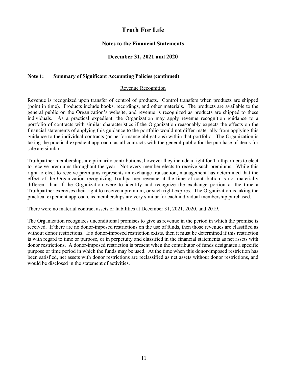#### **Notes to the Financial Statements**

#### **December 31, 2021 and 2020**

#### **Note 1: Summary of Significant Accounting Policies (continued)**

#### Revenue Recognition

Revenue is recognized upon transfer of control of products. Control transfers when products are shipped (point in time). Products include books, recordings, and other materials. The products are available to the general public on the Organization's website, and revenue is recognized as products are shipped to these individuals. As a practical expedient, the Organization may apply revenue recognition guidance to a portfolio of contracts with similar characteristics if the Organization reasonably expects the effects on the financial statements of applying this guidance to the portfolio would not differ materially from applying this guidance to the individual contracts (or performance obligations) within that portfolio. The Organization is taking the practical expedient approach, as all contracts with the general public for the purchase of items for sale are similar.

Truthpartner memberships are primarily contributions; however they include a right for Truthpartners to elect to receive premiums throughout the year. Not every member elects to receive such premiums. While this right to elect to receive premiums represents an exchange transaction, management has determined that the effect of the Organization recognizing Truthpartner revenue at the time of contribution is not materially different than if the Organization were to identify and recognize the exchange portion at the time a Truthpartner exercises their right to receive a premium, or such right expires. The Organization is taking the practical expedient approach, as memberships are very similar for each individual membership purchased.

There were no material contract assets or liabilities at December 31, 2021, 2020, and 2019.

The Organization recognizes unconditional promises to give as revenue in the period in which the promise is received. If there are no donor-imposed restrictions on the use of funds, then those revenues are classified as without donor restrictions. If a donor-imposed restriction exists, then it must be determined if this restriction is with regard to time or purpose, or in perpetuity and classified in the financial statements as net assets with donor restrictions. A donor-imposed restriction is present when the contributor of funds designates a specific purpose or time period in which the funds may be used. At the time when this donor-imposed restriction has been satisfied, net assets with donor restrictions are reclassified as net assets without donor restrictions, and would be disclosed in the statement of activities.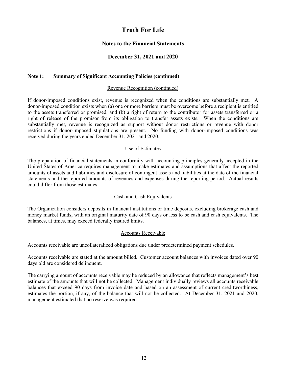#### **Notes to the Financial Statements**

#### **December 31, 2021 and 2020**

#### **Note 1: Summary of Significant Accounting Policies (continued)**

#### Revenue Recognition (continued)

If donor-imposed conditions exist, revenue is recognized when the conditions are substantially met. A donor-imposed condition exists when (a) one or more barriers must be overcome before a recipient is entitled to the assets transferred or promised, and (b) a right of return to the contributor for assets transferred or a right of release of the promisor from its obligation to transfer assets exists. When the conditions are substantially met, revenue is recognized as support without donor restrictions or revenue with donor restrictions if donor-imposed stipulations are present. No funding with donor-imposed conditions was received during the years ended December 31, 2021 and 2020.

#### Use of Estimates

The preparation of financial statements in conformity with accounting principles generally accepted in the United States of America requires management to make estimates and assumptions that affect the reported amounts of assets and liabilities and disclosure of contingent assets and liabilities at the date of the financial statements and the reported amounts of revenues and expenses during the reporting period. Actual results could differ from those estimates.

#### Cash and Cash Equivalents

The Organization considers deposits in financial institutions or time deposits, excluding brokerage cash and money market funds, with an original maturity date of 90 days or less to be cash and cash equivalents. The balances, at times, may exceed federally insured limits.

#### Accounts Receivable

Accounts receivable are uncollateralized obligations due under predetermined payment schedules.

Accounts receivable are stated at the amount billed. Customer account balances with invoices dated over 90 days old are considered delinquent.

The carrying amount of accounts receivable may be reduced by an allowance that reflects management's best estimate of the amounts that will not be collected. Management individually reviews all accounts receivable balances that exceed 90 days from invoice date and based on an assessment of current creditworthiness, estimates the portion, if any, of the balance that will not be collected. At December 31, 2021 and 2020, management estimated that no reserve was required.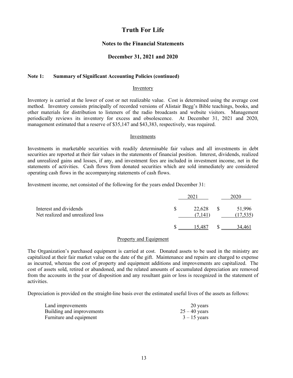#### **Notes to the Financial Statements**

#### **December 31, 2021 and 2020**

#### **Note 1: Summary of Significant Accounting Policies (continued)**

#### Inventory

Inventory is carried at the lower of cost or net realizable value. Cost is determined using the average cost method. Inventory consists principally of recorded versions of Alistair Begg's Bible teachings, books, and other materials for distribution to listeners of the radio broadcasts and website visitors. Management periodically reviews its inventory for excess and obsolescence. At December 31, 2021 and 2020, management estimated that a reserve of \$35,147 and \$43,383, respectively, was required.

#### Investments

Investments in marketable securities with readily determinable fair values and all investments in debt securities are reported at their fair values in the statements of financial position. Interest, dividends, realized and unrealized gains and losses, if any, and investment fees are included in investment income, net in the statements of activities. Cash flows from donated securities which are sold immediately are considered operating cash flows in the accompanying statements of cash flows.

Investment income, net consisted of the following for the years ended December 31:

|                                                            |                        | 2020                |
|------------------------------------------------------------|------------------------|---------------------|
| Interest and dividends<br>Net realized and unrealized loss | $22,628$ \$<br>(7.141) | 51,996<br>(17, 535) |
|                                                            |                        |                     |

#### Property and Equipment

The Organization's purchased equipment is carried at cost. Donated assets to be used in the ministry are capitalized at their fair market value on the date of the gift. Maintenance and repairs are charged to expense as incurred, whereas the cost of property and equipment additions and improvements are capitalized. The cost of assets sold, retired or abandoned, and the related amounts of accumulated depreciation are removed from the accounts in the year of disposition and any resultant gain or loss is recognized in the statement of activities.

Depreciation is provided on the straight-line basis over the estimated useful lives of the assets as follows:

| Land improvements         | 20 years        |
|---------------------------|-----------------|
| Building and improvements | $25 - 40$ years |
| Furniture and equipment   | $3 - 15$ years  |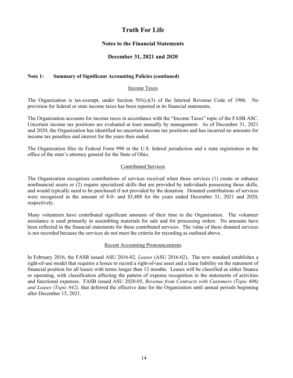#### **Notes to the Financial Statements**

#### **December 31, 2021 and 2020**

#### **Note 1: Summary of Significant Accounting Policies (continued)**

#### Income Taxes

The Organization is tax-exempt, under Section  $501(c)(3)$  of the Internal Revenue Code of 1986. No provision for federal or state income taxes has been reported in its financial statements.

The Organization accounts for income taxes in accordance with the "Income Taxes" topic of the FASB ASC. Uncertain income tax positions are evaluated at least annually by management. As of December 31, 2021 and 2020, the Organization has identified no uncertain income tax positions and has incurred no amounts for income tax penalties and interest for the years then ended.

The Organization files its Federal Form 990 in the U.S. federal jurisdiction and a state registration in the office of the state's attorney general for the State of Ohio.

#### Contributed Services

The Organization recognizes contributions of services received when those services (1) create or enhance nonfinancial assets or (2) require specialized skills that are provided by individuals possessing those skills, and would typically need to be purchased if not provided by the donation. Donated contributions of services were recognized in the amount of \$-0- and \$5,488 for the years ended December 31, 2021 and 2020, respectively.

Many volunteers have contributed significant amounts of their time to the Organization. The volunteer assistance is used primarily in assembling materials for sale and for processing orders. No amounts have been reflected in the financial statements for these contributed services. The value of these donated services is not recorded because the services do not meet the criteria for recording as outlined above.

#### Recent Accounting Pronouncements

In February 2016, the FASB issued ASU 2016-02, *Leases* (ASU 2016-02). The new standard establishes a right-of-use model that requires a lessee to record a right-of-use asset and a lease liability on the statement of financial position for all leases with terms longer than 12 months. Leases will be classified as either finance or operating, with classification affecting the pattern of expense recognition in the statements of activities and functional expenses. FASB issued ASU 2020-05, *Revenue from Contracts with Customers (Topic 606) and Leases (Topic 842),* that deferred the effective date for the Organization until annual periods beginning after December 15, 2021.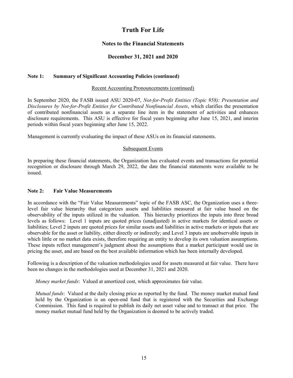#### **Notes to the Financial Statements**

#### **December 31, 2021 and 2020**

#### **Note 1: Summary of Significant Accounting Policies (continued)**

#### Recent Accounting Pronouncements (continued)

In September 2020, the FASB issued ASU 2020-07, *Not-for-Profit Entities (Topic 958): Presentation and Disclosures by Not-for-Profit Entities for Contributed Nonfinancial Assets*, which clarifies the presentation of contributed nonfinancial assets as a separate line item in the statement of activities and enhances disclosure requirements. This ASU is effective for fiscal years beginning after June 15, 2021, and interim periods within fiscal years beginning after June 15, 2022.

Management is currently evaluating the impact of these ASUs on its financial statements.

#### Subsequent Events

In preparing these financial statements, the Organization has evaluated events and transactions for potential recognition or disclosure through March 29, 2022, the date the financial statements were available to be issued.

#### **Note 2: Fair Value Measurements**

In accordance with the "Fair Value Measurements" topic of the FASB ASC, the Organization uses a threelevel fair value hierarchy that categorizes assets and liabilities measured at fair value based on the observability of the inputs utilized in the valuation. This hierarchy prioritizes the inputs into three broad levels as follows: Level 1 inputs are quoted prices (unadjusted) in active markets for identical assets or liabilities; Level 2 inputs are quoted prices for similar assets and liabilities in active markets or inputs that are observable for the asset or liability, either directly or indirectly; and Level 3 inputs are unobservable inputs in which little or no market data exists, therefore requiring an entity to develop its own valuation assumptions. These inputs reflect management's judgment about the assumptions that a market participant would use in pricing the asset, and are based on the best available information which has been internally developed.

Following is a description of the valuation methodologies used for assets measured at fair value. There have been no changes in the methodologies used at December 31, 2021 and 2020.

*Money market funds*: Valued at amortized cost, which approximates fair value.

*Mutual funds*: Valued at the daily closing price as reported by the fund. The money market mutual fund held by the Organization is an open-end fund that is registered with the Securities and Exchange Commission. This fund is required to publish its daily net asset value and to transact at that price. The money market mutual fund held by the Organization is deemed to be actively traded.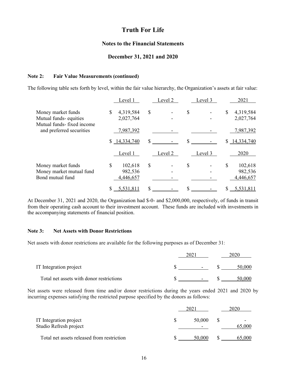#### **Notes to the Financial Statements**

#### **December 31, 2021 and 2020**

#### **Note 2: Fair Value Measurements (continued)**

The following table sets forth by level, within the fair value hierarchy, the Organization's assets at fair value:

|                                                                          | Level 1                               | Level 2       | Level 3 | 2021                                  |
|--------------------------------------------------------------------------|---------------------------------------|---------------|---------|---------------------------------------|
| Money market funds<br>Mutual funds-equities<br>Mutual funds-fixed income | 4,319,584<br>\$<br>2,027,764          | $\mathcal{S}$ | \$      | 4,319,584<br>\$<br>2,027,764          |
| and preferred securities                                                 | 7,987,392                             |               |         | 7,987,392                             |
|                                                                          | \$14,334,740                          | \$            |         | 14,334,740<br>S.                      |
|                                                                          | Level 1                               | Level 2       | Level 3 | 2020                                  |
| Money market funds<br>Money market mutual fund<br>Bond mutual fund       | \$<br>102,618<br>982,536<br>4,446,657 | \$            | \$      | \$<br>102,618<br>982,536<br>4,446,657 |
|                                                                          | 5,531,811<br>\$                       | \$            |         | 5,531,811<br>S                        |

At December 31, 2021 and 2020, the Organization had \$-0- and \$2,000,000, respectively, of funds in transit from their operating cash account to their investment account. These funds are included with investments in the accompanying statements of financial position.

#### **Note 3: Net Assets with Donor Restrictions**

Net assets with donor restrictions are available for the following purposes as of December 31:

| IT Integration project                   | $\overline{\phantom{0}}$ | 50,000 |  |
|------------------------------------------|--------------------------|--------|--|
| Total net assets with donor restrictions | $\overline{\phantom{0}}$ |        |  |

Net assets were released from time and/or donor restrictions during the years ended 2021 and 2020 by incurring expenses satisfying the restricted purpose specified by the donors as follows:

| IT Integration project<br>Studio Refresh project | 50,000 | 65.000 |
|--------------------------------------------------|--------|--------|
| Total net assets released from restriction       | 50,000 | 65,000 |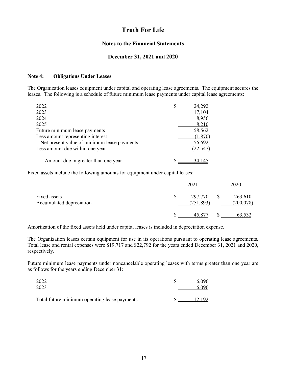#### **Notes to the Financial Statements**

#### **December 31, 2021 and 2020**

#### **Note 4: Obligations Under Leases**

The Organization leases equipment under capital and operating lease agreements. The equipment secures the leases. The following is a schedule of future minimum lease payments under capital lease agreements:

| 2022                                        | 24,292    |
|---------------------------------------------|-----------|
| 2023                                        | 17,104    |
| 2024                                        | 8,956     |
| 2025                                        | 8,210     |
| Future minimum lease payments               | 58,562    |
| Less amount representing interest           | (1,870)   |
| Net present value of minimum lease payments | 56,692    |
| Less amount due within one year             | (22, 547) |
| Amount due in greater than one year         | 34.145    |

Fixed assets include the following amounts for equipment under capital leases:

|                                          | 2021                  |              | 2020                 |
|------------------------------------------|-----------------------|--------------|----------------------|
| Fixed assets<br>Accumulated depreciation | 297,770<br>(251, 893) | $\mathbb{S}$ | 263,610<br>(200,078) |
|                                          | 45.877                |              | 63,532               |

Amortization of the fixed assets held under capital leases is included in depreciation expense.

The Organization leases certain equipment for use in its operations pursuant to operating lease agreements. Total lease and rental expenses were \$19,717 and \$22,792 for the years ended December 31, 2021 and 2020, respectively.

Future minimum lease payments under noncancelable operating leases with terms greater than one year are as follows for the years ending December 31:

| 2022                                          | 6.096  |
|-----------------------------------------------|--------|
| 2023                                          | 6.096  |
|                                               |        |
| Total future minimum operating lease payments | 12.192 |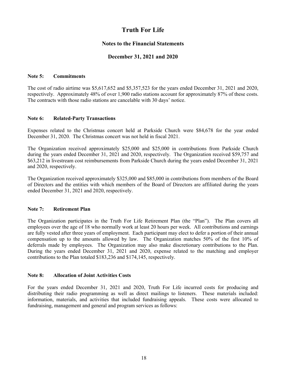#### **Notes to the Financial Statements**

#### **December 31, 2021 and 2020**

#### **Note 5: Commitments**

The cost of radio airtime was \$5,617,652 and \$5,357,523 for the years ended December 31, 2021 and 2020, respectively. Approximately 48% of over 1,900 radio stations account for approximately 87% of these costs. The contracts with those radio stations are cancelable with 30 days' notice.

#### **Note 6: Related-Party Transactions**

Expenses related to the Christmas concert held at Parkside Church were \$84,678 for the year ended December 31, 2020. The Christmas concert was not held in fiscal 2021.

The Organization received approximately \$25,000 and \$25,000 in contributions from Parkside Church during the years ended December 31, 2021 and 2020, respectively. The Organization received \$59,757 and \$63,212 in livestream cost reimbursements from Parkside Church during the years ended December 31, 2021 and 2020, respectively.

The Organization received approximately \$325,000 and \$85,000 in contributions from members of the Board of Directors and the entities with which members of the Board of Directors are affiliated during the years ended December 31, 2021 and 2020, respectively.

#### **Note 7: Retirement Plan**

The Organization participates in the Truth For Life Retirement Plan (the "Plan"). The Plan covers all employees over the age of 18 who normally work at least 20 hours per week. All contributions and earnings are fully vested after three years of employment. Each participant may elect to defer a portion of their annual compensation up to the amounts allowed by law. The Organization matches 50% of the first 10% of deferrals made by employees. The Organization may also make discretionary contributions to the Plan. During the years ended December 31, 2021 and 2020, expense related to the matching and employer contributions to the Plan totaled \$183,236 and \$174,145, respectively.

#### **Note 8: Allocation of Joint Activities Costs**

For the years ended December 31, 2021 and 2020, Truth For Life incurred costs for producing and distributing their radio programming as well as direct mailings to listeners. These materials included: information, materials, and activities that included fundraising appeals. These costs were allocated to fundraising, management and general and program services as follows: